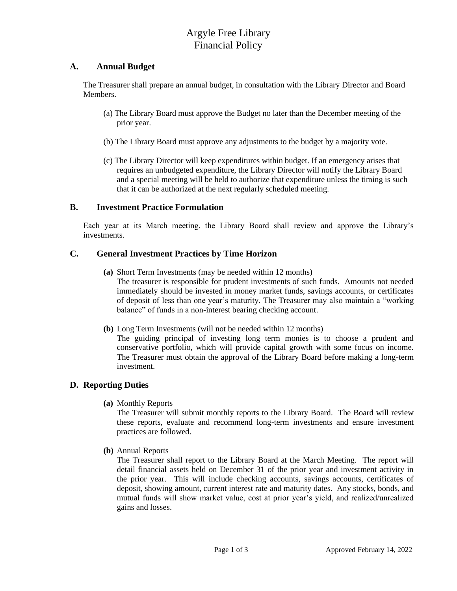# Argyle Free Library Financial Policy

#### **A. Annual Budget**

The Treasurer shall prepare an annual budget, in consultation with the Library Director and Board Members.

- (a) The Library Board must approve the Budget no later than the December meeting of the prior year.
- (b) The Library Board must approve any adjustments to the budget by a majority vote.
- (c) The Library Director will keep expenditures within budget. If an emergency arises that requires an unbudgeted expenditure, the Library Director will notify the Library Board and a special meeting will be held to authorize that expenditure unless the timing is such that it can be authorized at the next regularly scheduled meeting.

### **B. Investment Practice Formulation**

Each year at its March meeting, the Library Board shall review and approve the Library's investments.

#### **C. General Investment Practices by Time Horizon**

- **(a)** Short Term Investments (may be needed within 12 months) The treasurer is responsible for prudent investments of such funds. Amounts not needed immediately should be invested in money market funds, savings accounts, or certificates of deposit of less than one year's maturity. The Treasurer may also maintain a "working balance" of funds in a non-interest bearing checking account.
- **(b)** Long Term Investments (will not be needed within 12 months)

The guiding principal of investing long term monies is to choose a prudent and conservative portfolio, which will provide capital growth with some focus on income. The Treasurer must obtain the approval of the Library Board before making a long-term investment.

### **D. Reporting Duties**

**(a)** Monthly Reports

The Treasurer will submit monthly reports to the Library Board. The Board will review these reports, evaluate and recommend long-term investments and ensure investment practices are followed.

**(b)** Annual Reports

The Treasurer shall report to the Library Board at the March Meeting. The report will detail financial assets held on December 31 of the prior year and investment activity in the prior year. This will include checking accounts, savings accounts, certificates of deposit, showing amount, current interest rate and maturity dates. Any stocks, bonds, and mutual funds will show market value, cost at prior year's yield, and realized/unrealized gains and losses.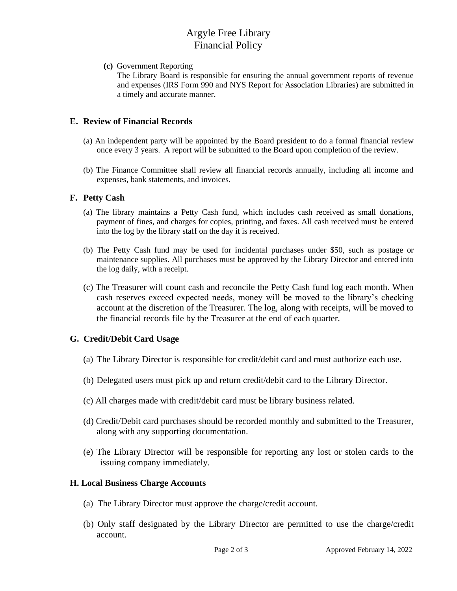## Argyle Free Library Financial Policy

**(c)** Government Reporting

The Library Board is responsible for ensuring the annual government reports of revenue and expenses (IRS Form 990 and NYS Report for Association Libraries) are submitted in a timely and accurate manner.

## **E. Review of Financial Records**

- (a) An independent party will be appointed by the Board president to do a formal financial review once every 3 years. A report will be submitted to the Board upon completion of the review.
- (b) The Finance Committee shall review all financial records annually, including all income and expenses, bank statements, and invoices.

### **F. Petty Cash**

- (a) The library maintains a Petty Cash fund, which includes cash received as small donations, payment of fines, and charges for copies, printing, and faxes. All cash received must be entered into the log by the library staff on the day it is received.
- (b) The Petty Cash fund may be used for incidental purchases under \$50, such as postage or maintenance supplies. All purchases must be approved by the Library Director and entered into the log daily, with a receipt.
- (c) The Treasurer will count cash and reconcile the Petty Cash fund log each month. When cash reserves exceed expected needs, money will be moved to the library's checking account at the discretion of the Treasurer. The log, along with receipts, will be moved to the financial records file by the Treasurer at the end of each quarter.

### **G. Credit/Debit Card Usage**

- (a) The Library Director is responsible for credit/debit card and must authorize each use.
- (b) Delegated users must pick up and return credit/debit card to the Library Director.
- (c) All charges made with credit/debit card must be library business related.
- (d) Credit/Debit card purchases should be recorded monthly and submitted to the Treasurer, along with any supporting documentation.
- (e) The Library Director will be responsible for reporting any lost or stolen cards to the issuing company immediately.

#### **H. Local Business Charge Accounts**

- (a) The Library Director must approve the charge/credit account.
- (b) Only staff designated by the Library Director are permitted to use the charge/credit account.